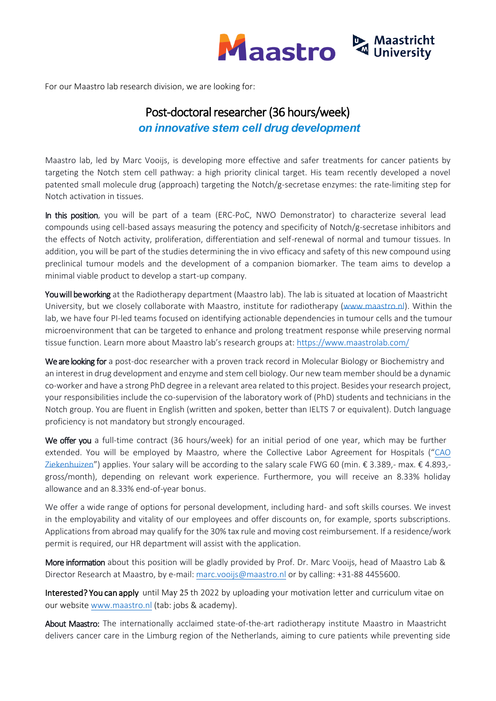

For our Maastro lab research division, we are looking for:

## Post-doctoral researcher (36 hours/week) *on innovative stem cell drug development*

Maastro lab, led by Marc Vooijs, is developing more effective and safer treatments for cancer patients by targeting the Notch stem cell pathway: a high priority clinical target. His team recently developed a novel patented small molecule drug (approach) targeting the Notch/g-secretase enzymes: the rate-limiting step for Notch activation in tissues.

In this position, you will be part of a team (ERC-PoC, NWO Demonstrator) to characterize several lead compounds using cell-based assays measuring the potency and specificity of Notch/g-secretase inhibitors and the effects of Notch activity, proliferation, differentiation and self-renewal of normal and tumour tissues. In addition, you will be part of the studies determining the in vivo efficacy and safety of this new compound using preclinical tumour models and the development of a companion biomarker. The team aims to develop a minimal viable product to develop a start-up company.

You will be working at the Radiotherapy department (Maastro lab). The lab is situated at location of Maastricht University, but we closely collaborate with Maastro, institute for radiotherapy [\(www.maastro.nl\)](http://www.maastro.nl/). Within the lab, we have four PI-led teams focused on identifying actionable dependencies in tumour cells and the tumour microenvironment that can be targeted to enhance and prolong treatment response while preserving normal tissue function. Learn more about Maastro lab's research groups at:<https://www.maastrolab.com/>

We are looking for a post-doc researcher with a proven track record in Molecular Biology or Biochemistry and an interest in drug development and enzyme and stem cell biology. Our new team member should be a dynamic co-worker and have a strong PhD degree in a relevant area related to this project. Besides your research project, your responsibilities include the co-supervision of the laboratory work of (PhD) students and technicians in the Notch group. You are fluent in English (written and spoken, better than IELTS 7 or equivalent). Dutch language proficiency is not mandatory but strongly encouraged.

We offer you a full-time contract (36 hours/week) for an initial period of one year, which may be further extended. You will be employed by Maastro, where the Collective Labor Agreement for Hospitals ("[CAO](https://cao-ziekenhuizen.nl/)  [Ziekenhuizen](https://cao-ziekenhuizen.nl/)") applies. Your salary will be according to the salary scale FWG 60 (min. € 3.389,- max. € 4.893,gross/month), depending on relevant work experience. Furthermore, you will receive an 8.33% holiday allowance and an 8.33% end-of-year bonus.

We offer a wide range of options for personal development, including hard- and soft skills courses. We invest in the employability and vitality of our employees and offer discounts on, for example, sports subscriptions. Applications from abroad may qualify for the 30% tax rule and moving cost reimbursement. If a residence/work permit is required, our HR department will assist with the application.

More information about this position will be gladly provided by Prof. Dr. Marc Vooijs, head of Maastro Lab & Director Research at Maastro, by e-mail[: marc.vooijs@maastro.nl](mailto:marc.vooijs@maastro.nl) or by calling: +31-88 4455600.

Interested? You can apply until May 25 th 2022 by uploading your motivation letter and curriculum vitae on our website [www.maastro.nl](http://www.maastro.nl/) (tab: jobs & academy).

About Maastro: The internationally acclaimed state-of-the-art radiotherapy institute Maastro in Maastricht delivers cancer care in the Limburg region of the Netherlands, aiming to cure patients while preventing side